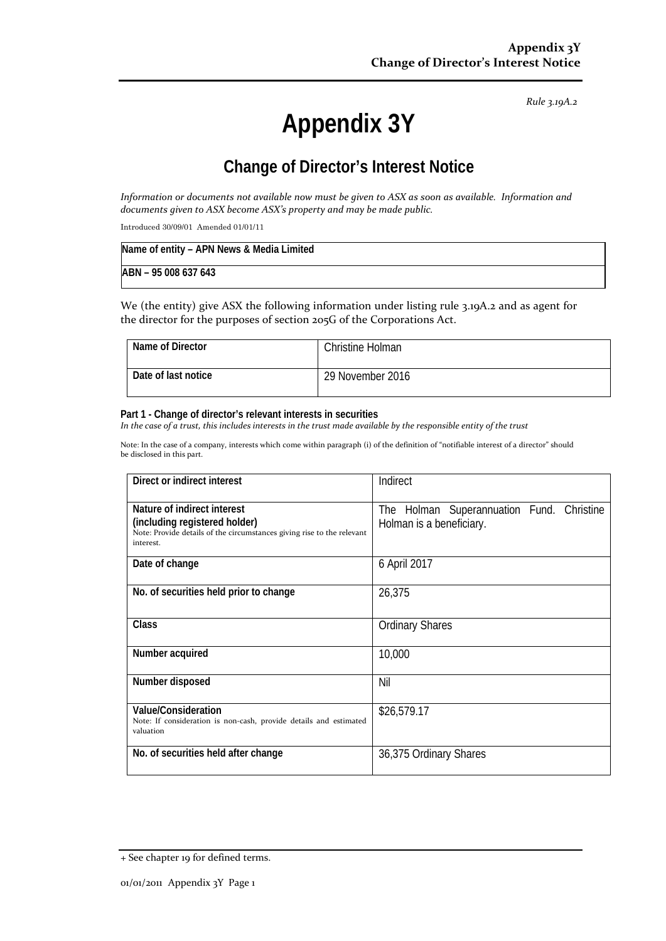*Rule 3.19A.2*

# **Appendix 3Y**

# **Change of Director's Interest Notice**

*Information or documents not available now must be given to ASX as soon as available. Information and documents given to ASX become ASX's property and may be made public.*

Introduced 30/09/01 Amended 01/01/11

| Name of entity - APN News & Media Limited |  |
|-------------------------------------------|--|
| ABN - 95 008 637 643                      |  |

We (the entity) give ASX the following information under listing rule 3.19A.2 and as agent for the director for the purposes of section 205G of the Corporations Act.

| Name of Director    | <b>Christine Holman</b> |
|---------------------|-------------------------|
| Date of last notice | 29 November 2016        |

#### **Part 1 - Change of director's relevant interests in securities**

*In the case of a trust, this includes interests in the trust made available by the responsible entity of the trust*

Note: In the case of a company, interests which come within paragraph (i) of the definition of "notifiable interest of a director" should be disclosed in this part.

| Direct or indirect interest                                                                                                                         | Indirect                                                              |
|-----------------------------------------------------------------------------------------------------------------------------------------------------|-----------------------------------------------------------------------|
| Nature of indirect interest<br>(including registered holder)<br>Note: Provide details of the circumstances giving rise to the relevant<br>interest. | The Holman Superannuation Fund. Christine<br>Holman is a beneficiary. |
| Date of change                                                                                                                                      | 6 April 2017                                                          |
| No. of securities held prior to change                                                                                                              | 26,375                                                                |
| Class                                                                                                                                               | <b>Ordinary Shares</b>                                                |
| Number acquired                                                                                                                                     | 10,000                                                                |
| Number disposed                                                                                                                                     | Nil                                                                   |
| Value/Consideration<br>Note: If consideration is non-cash, provide details and estimated<br>valuation                                               | \$26,579.17                                                           |
| No. of securities held after change                                                                                                                 | 36,375 Ordinary Shares                                                |

<sup>+</sup> See chapter 19 for defined terms.